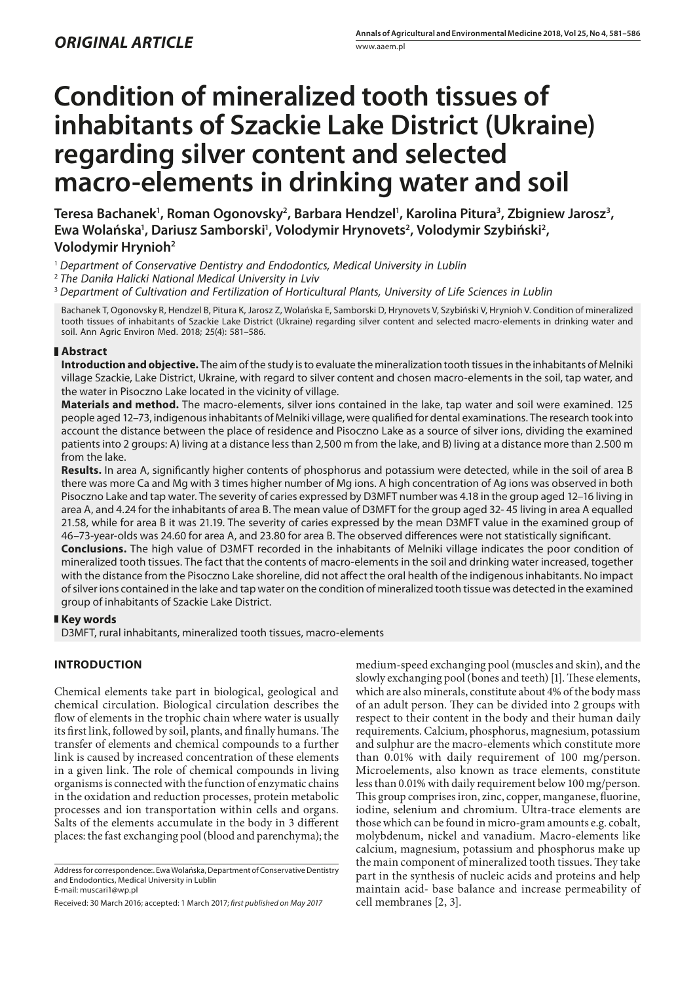# **Condition of mineralized tooth tissues of inhabitants of Szackie Lake District (Ukraine) regarding silver content and selected macro-elements in drinking water and soil**

Teresa Bachanek<sup>1</sup>, Roman Ogonovsky<sup>2</sup>, Barbara Hendzel<sup>1</sup>, Karolina Pitura<sup>3</sup>, Zbigniew Jarosz<sup>3</sup>, Ewa Wolańska<sup>1</sup>, Dariusz Samborski<sup>1</sup>, Volodymir Hrynovets<sup>2</sup>, Volodymir Szybiński<sup>2</sup>, **Volodymir Hrynioh2**

<sup>1</sup> *Department of Conservative Dentistry and Endodontics, Medical University in Lublin*

<sup>3</sup> *Department of Cultivation and Fertilization of Horticultural Plants, University of Life Sciences in Lublin*

Bachanek T, Ogonovsky R, Hendzel B, Pitura K, Jarosz Z, Wolańska E, Samborski D, Hrynovets V, Szybiński V, Hrynioh V. Condition of mineralized tooth tissues of inhabitants of Szackie Lake District (Ukraine) regarding silver content and selected macro-elements in drinking water and soil. Ann Agric Environ Med. 2018; 25(4): 581–586.

## **Abstract**

**Introduction and objective.** The aim of the study is to evaluate the mineralization tooth tissues in the inhabitants of Melniki village Szackie, Lake District, Ukraine, with regard to silver content and chosen macro-elements in the soil, tap water, and the water in Pisoczno Lake located in the vicinity of village.

**Materials and method.** The macro-elements, silver ions contained in the lake, tap water and soil were examined. 125 people aged 12–73, indigenous inhabitants of Melniki village, were qualified for dental examinations. The research took into account the distance between the place of residence and Pisoczno Lake as a source of silver ions, dividing the examined patients into 2 groups: A) living at a distance less than 2,500 m from the lake, and B) living at a distance more than 2.500 m from the lake.

**Results.** In area A, significantly higher contents of phosphorus and potassium were detected, while in the soil of area B there was more Ca and Mg with 3 times higher number of Mg ions. A high concentration of Ag ions was observed in both Pisoczno Lake and tap water. The severity of caries expressed by D3MFT number was 4.18 in the group aged 12–16 living in area A, and 4.24 for the inhabitants of area B. The mean value of D3MFT for the group aged 32- 45 living in area A equalled 21.58, while for area B it was 21.19. The severity of caries expressed by the mean D3MFT value in the examined group of 46–73-year-olds was 24.60 for area A, and 23.80 for area B. The observed differences were not statistically significant. **Conclusions.** The high value of D3MFT recorded in the inhabitants of Melniki village indicates the poor condition of mineralized tooth tissues. The fact that the contents of macro-elements in the soil and drinking water increased, together with the distance from the Pisoczno Lake shoreline, did not affect the oral health of the indigenous inhabitants. No impact

of silver ions contained in the lake and tap water on the condition of mineralized tooth tissue was detected in the examined

## **Key words**

D3MFT, rural inhabitants, mineralized tooth tissues, macro-elements

group of inhabitants of Szackie Lake District.

# **INTRODUCTION**

Chemical elements take part in biological, geological and chemical circulation. Biological circulation describes the flow of elements in the trophic chain where water is usually its first link, followed by soil, plants, and finally humans. The transfer of elements and chemical compounds to a further link is caused by increased concentration of these elements in a given link. The role of chemical compounds in living organisms is connected with the function of enzymatic chains in the oxidation and reduction processes, protein metabolic processes and ion transportation within cells and organs. Salts of the elements accumulate in the body in 3 different places: the fast exchanging pool (blood and parenchyma); the

medium-speed exchanging pool (muscles and skin), and the slowly exchanging pool (bones and teeth) [1]. These elements, which are also minerals, constitute about 4% of the body mass of an adult person. They can be divided into 2 groups with respect to their content in the body and their human daily requirements. Calcium, phosphorus, magnesium, potassium and sulphur are the macro-elements which constitute more than 0.01% with daily requirement of 100 mg/person. Microelements, also known as trace elements, constitute less than 0.01% with daily requirement below 100 mg/person. This group comprises iron, zinc, copper, manganese, fluorine, iodine, selenium and chromium. Ultra-trace elements are those which can be found in micro-gram amounts e.g. cobalt, molybdenum, nickel and vanadium. Macro-elements like calcium, magnesium, potassium and phosphorus make up the main component of mineralized tooth tissues. They take part in the synthesis of nucleic acids and proteins and help maintain acid- base balance and increase permeability of cell membranes [2, 3].

<sup>2</sup> *The Daniła Halicki National Medical University in Lviv*

Address for correspondence:. Ewa Wolańska, Department of Conservative Dentistry and Endodontics, Medical University in Lublin E-mail: [muscari1@wp.pl](mailto:muscari1@wp.pl)

Received: 30 March 2016; accepted: 1 March 2017; *first published on May 2017*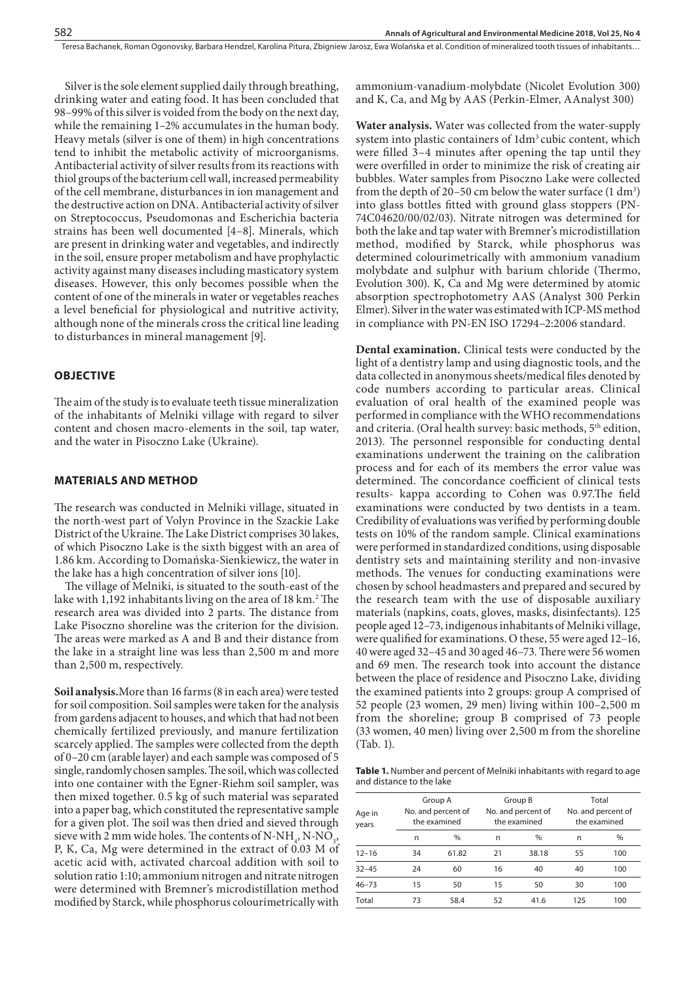Silver is the sole element supplied daily through breathing, drinking water and eating food. It has been concluded that 98–99% of this silver is voided from the body on the next day, while the remaining 1–2% accumulates in the human body. Heavy metals (silver is one of them) in high concentrations tend to inhibit the metabolic activity of microorganisms. Antibacterial activity of silver results from its reactions with thiol groups of the bacterium cell wall, increased permeability of the cell membrane, disturbances in ion management and the destructive action on DNA. Antibacterial activity of silver on Streptococcus, Pseudomonas and Escherichia bacteria strains has been well documented [4–8]. Minerals, which are present in drinking water and vegetables, and indirectly in the soil, ensure proper metabolism and have prophylactic activity against many diseases including masticatory system diseases. However, this only becomes possible when the content of one of the minerals in water or vegetables reaches a level beneficial for physiological and nutritive activity, although none of the minerals cross the critical line leading to disturbances in mineral management [9].

#### **OBJECTIVE**

The aim of the study is to evaluate teeth tissue mineralization of the inhabitants of Melniki village with regard to silver content and chosen macro-elements in the soil, tap water, and the water in Pisoczno Lake (Ukraine).

#### **MATERIALS AND METHOD**

The research was conducted in Melniki village, situated in the north-west part of Volyn Province in the Szackie Lake District of the Ukraine. The Lake District comprises 30 lakes, of which Pisoczno Lake is the sixth biggest with an area of 1.86 km. According to Domańska-Sienkiewicz, the water in the lake has a high concentration of silver ions [10].

The village of Melniki, is situated to the south-east of the lake with 1,192 inhabitants living on the area of 18 km.<sup>2</sup> The research area was divided into 2 parts. The distance from Lake Pisoczno shoreline was the criterion for the division. The areas were marked as A and B and their distance from the lake in a straight line was less than 2,500 m and more than 2,500 m, respectively.

**Soil analysis.**More than 16 farms (8 in each area) were tested for soil composition. Soil samples were taken for the analysis from gardens adjacent to houses, and which that had not been chemically fertilized previously, and manure fertilization scarcely applied. The samples were collected from the depth of 0–20 cm (arable layer) and each sample was composed of 5 single, randomly chosen samples. The soil, which was collected into one container with the Egner-Riehm soil sampler, was then mixed together. 0.5 kg of such material was separated into a paper bag, which constituted the representative sample for a given plot. The soil was then dried and sieved through sieve with 2 mm wide holes. The contents of N-NH<sub>4</sub>, N-NO<sub>3</sub>, P, K, Ca, Mg were determined in the extract of 0.03 M of acetic acid with, activated charcoal addition with soil to solution ratio 1:10; ammonium nitrogen and nitrate nitrogen were determined with Bremner's microdistillation method modified by Starck, while phosphorus colourimetrically with

ammonium-vanadium-molybdate (Nicolet Evolution 300) and K, Ca, and Mg by AAS (Perkin-Elmer, AAnalyst 300)

**Water analysis.** Water was collected from the water-supply system into plastic containers of 1dm3 cubic content, which were filled 3–4 minutes after opening the tap until they were overfilled in order to minimize the risk of creating air bubbles. Water samples from Pisoczno Lake were collected from the depth of 20–50 cm below the water surface  $(1 \text{ dm}^3)$ into glass bottles fitted with ground glass stoppers (PN-74C04620/00/02/03). Nitrate nitrogen was determined for both the lake and tap water with Bremner's microdistillation method, modified by Starck, while phosphorus was determined colourimetrically with ammonium vanadium molybdate and sulphur with barium chloride (Thermo, Evolution 300). K, Ca and Mg were determined by atomic absorption spectrophotometry AAS (Analyst 300 Perkin Elmer). Silver in the water was estimated with ICP-MS method in compliance with PN-EN ISO 17294–2:2006 standard.

**Dental examination.** Clinical tests were conducted by the light of a dentistry lamp and using diagnostic tools, and the data collected in anonymous sheets/medical files denoted by code numbers according to particular areas. Clinical evaluation of oral health of the examined people was performed in compliance with the WHO recommendations and criteria. (Oral health survey: basic methods, 5<sup>th</sup> edition, 2013). The personnel responsible for conducting dental examinations underwent the training on the calibration process and for each of its members the error value was determined. The concordance coefficient of clinical tests results- kappa according to Cohen was 0.97.The field examinations were conducted by two dentists in a team. Credibility of evaluations was verified by performing double tests on 10% of the random sample. Clinical examinations were performed in standardized conditions, using disposable dentistry sets and maintaining sterility and non-invasive methods. The venues for conducting examinations were chosen by school headmasters and prepared and secured by the research team with the use of disposable auxiliary materials (napkins, coats, gloves, masks, disinfectants). 125 people aged 12–73, indigenous inhabitants of Melniki village, were qualified for examinations. O these, 55 were aged 12–16, 40 were aged 32–45 and 30 aged 46–73. There were 56 women and 69 men. The research took into account the distance between the place of residence and Pisoczno Lake, dividing the examined patients into 2 groups: group A comprised of 52 people (23 women, 29 men) living within 100–2,500 m from the shoreline; group B comprised of 73 people (33 women, 40 men) living over 2,500 m from the shoreline (Tab. 1).

**Table 1.** Number and percent of Melniki inhabitants with regard to age and distance to the lake

| Age in<br>years |    | Group A<br>No. and percent of<br>the examined |    | Group B<br>No. and percent of<br>the examined | Total<br>No. and percent of<br>the examined |               |  |
|-----------------|----|-----------------------------------------------|----|-----------------------------------------------|---------------------------------------------|---------------|--|
|                 | n  | $\frac{0}{0}$                                 | n  | $\frac{0}{0}$                                 | n                                           | $\frac{0}{0}$ |  |
| $12 - 16$       | 34 | 61.82                                         | 21 | 38.18                                         | 55                                          | 100           |  |
| $32 - 45$       | 24 | 60                                            | 16 | 40                                            | 40                                          | 100           |  |
| $46 - 73$       | 15 | 50                                            | 15 | 50                                            | 30                                          | 100           |  |
| Total           | 73 | 58.4                                          | 52 | 41.6                                          | 125                                         | 100           |  |
|                 |    |                                               |    |                                               |                                             |               |  |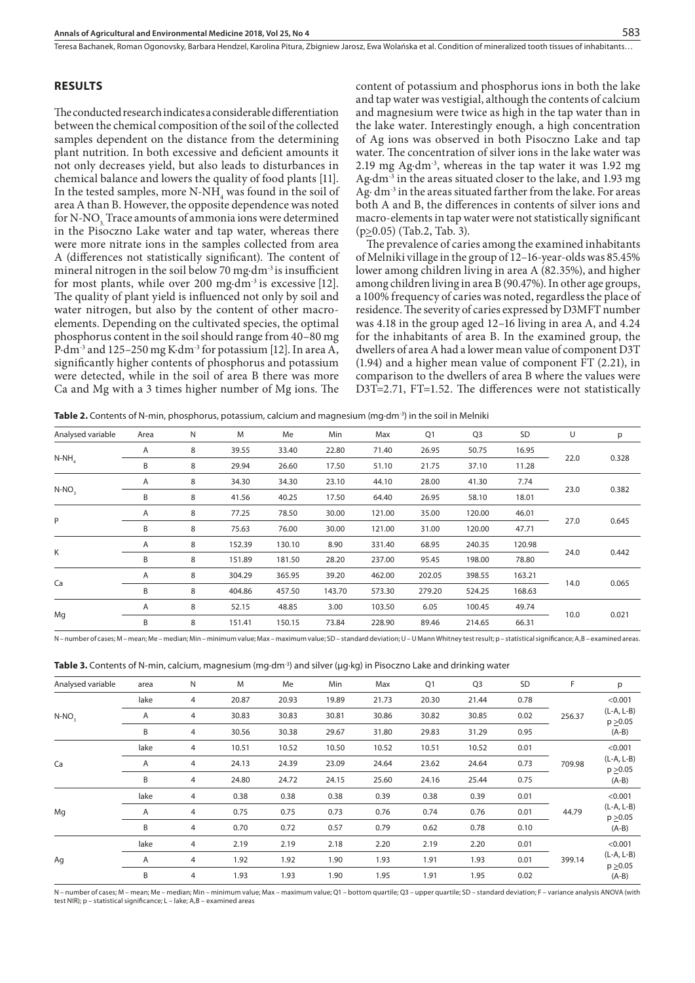## **RESULTS**

The conducted research indicates a considerable differentiation between the chemical composition of the soil of the collected samples dependent on the distance from the determining plant nutrition. In both excessive and deficient amounts it not only decreases yield, but also leads to disturbances in chemical balance and lowers the quality of food plants [11]. In the tested samples, more  $N-NH_4$  was found in the soil of area A than B. However, the opposite dependence was noted for N-NO<sub>3</sub>. Trace amounts of ammonia ions were determined in the Pisoczno Lake water and tap water, whereas there were more nitrate ions in the samples collected from area A (differences not statistically significant). The content of mineral nitrogen in the soil below 70 mg·dm<sup>-3</sup> is insufficient for most plants, while over 200  $mg \cdot dm^{-3}$  is excessive [12]. The quality of plant yield is influenced not only by soil and water nitrogen, but also by the content of other macroelements. Depending on the cultivated species, the optimal phosphorus content in the soil should range from 40–80 mg P·dm-3 and 125–250 mg K·dm-3 for potassium [12]. In area A, significantly higher contents of phosphorus and potassium were detected, while in the soil of area B there was more Ca and Mg with a 3 times higher number of Mg ions. The

content of potassium and phosphorus ions in both the lake and tap water was vestigial, although the contents of calcium and magnesium were twice as high in the tap water than in the lake water. Interestingly enough, a high concentration of Ag ions was observed in both Pisoczno Lake and tap water. The concentration of silver ions in the lake water was 2.19 mg Ag·dm-3, whereas in the tap water it was 1.92 mg Ag·dm-3 in the areas situated closer to the lake, and 1.93 mg Ag· dm<sup>-3</sup> in the areas situated farther from the lake. For areas both A and B, the differences in contents of silver ions and macro-elements in tap water were not statistically significant  $(p \ge 0.05)$  (Tab. 2, Tab. 3).

The prevalence of caries among the examined inhabitants of Melniki village in the group of 12–16-year-olds was 85.45% lower among children living in area A (82.35%), and higher among children living in area B (90.47%). In other age groups, a 100% frequency of caries was noted, regardless the place of residence. The severity of caries expressed by D3MFT number was 4.18 in the group aged 12–16 living in area A, and 4.24 for the inhabitants of area B. In the examined group, the dwellers of area A had a lower mean value of component D3T (1.94) and a higher mean value of component FT (2.21), in comparison to the dwellers of area B where the values were D3T=2.71, FT=1.52. The differences were not statistically

| <b>Table 2.</b> Contents of N-min, phosphorus, potassium, calcium and magnesium (mg·dm <sup>-3</sup> ) in the soil in Melniki |  |  |  |  |  |  |  |
|-------------------------------------------------------------------------------------------------------------------------------|--|--|--|--|--|--|--|
|-------------------------------------------------------------------------------------------------------------------------------|--|--|--|--|--|--|--|

| Analysed variable | Area           | N | M      | Me     | Min    | Max    | Q1     | Q <sub>3</sub> | SD     | U    | р     |
|-------------------|----------------|---|--------|--------|--------|--------|--------|----------------|--------|------|-------|
| $N-NH_a$          | $\overline{A}$ | 8 | 39.55  | 33.40  | 22.80  | 71.40  | 26.95  | 50.75          | 16.95  |      | 0.328 |
|                   | B              | 8 | 29.94  | 26.60  | 17.50  | 51.10  | 21.75  | 37.10          | 11.28  | 22.0 |       |
| $N-NO2$           | Α              | 8 | 34.30  | 34.30  | 23.10  | 44.10  | 28.00  | 41.30          | 7.74   |      |       |
|                   | B              | 8 | 41.56  | 40.25  | 17.50  | 64.40  | 26.95  | 58.10          | 18.01  | 23.0 | 0.382 |
| P                 | Α              | 8 | 77.25  | 78.50  | 30.00  | 121.00 | 35.00  | 120.00         | 46.01  | 27.0 | 0.645 |
|                   | B              | 8 | 75.63  | 76.00  | 30.00  | 121.00 | 31.00  | 120.00         | 47.71  |      |       |
|                   | A              | 8 | 152.39 | 130.10 | 8.90   | 331.40 | 68.95  | 240.35         | 120.98 |      |       |
| Κ                 | B              | 8 | 151.89 | 181.50 | 28.20  | 237.00 | 95.45  | 198.00         | 78.80  | 24.0 | 0.442 |
|                   | A              | 8 | 304.29 | 365.95 | 39.20  | 462.00 | 202.05 | 398.55         | 163.21 |      |       |
| Ca                | B              | 8 | 404.86 | 457.50 | 143.70 | 573.30 | 279.20 | 524.25         | 168.63 | 14.0 | 0.065 |
| Mg                | Α              | 8 | 52.15  | 48.85  | 3.00   | 103.50 | 6.05   | 100.45         | 49.74  | 10.0 |       |
|                   | B              | 8 | 151.41 | 150.15 | 73.84  | 228.90 | 89.46  | 214.65         | 66.31  |      | 0.021 |

N – number of cases; M – mean; Me – median; Min – minimum value; Max – maximum value; SD – standard deviation; U – U Mann Whitney test result; p – statistical significance; A,B – examined areas.

**Table 3.** Contents of N-min, calcium, magnesium (mg·dm<sup>-3</sup>) and silver (µg·kg) in Pisoczno Lake and drinking water

| Analysed variable | area | N | M     | Me    | Min   | Max   | Q1    | Q <sub>3</sub> | SD   | F      | p                                   |
|-------------------|------|---|-------|-------|-------|-------|-------|----------------|------|--------|-------------------------------------|
|                   | lake | 4 | 20.87 | 20.93 | 19.89 | 21.73 | 20.30 | 21.44          | 0.78 |        | < 0.001                             |
| $N-NO2$           | Α    | 4 | 30.83 | 30.83 | 30.81 | 30.86 | 30.82 | 30.85          | 0.02 | 256.37 | $(L-A, L-B)$<br>$p \ge 0.05$        |
|                   | B    | 4 | 30.56 | 30.38 | 29.67 | 31.80 | 29.83 | 31.29          | 0.95 |        | $(A-B)$                             |
| Ca                | lake | 4 | 10.51 | 10.52 | 10.50 | 10.52 | 10.51 | 10.52          | 0.01 |        | < 0.001                             |
|                   | A    | 4 | 24.13 | 24.39 | 23.09 | 24.64 | 23.62 | 24.64          | 0.73 | 709.98 | $(L-A, L-B)$<br>p > 0.05<br>$(A-B)$ |
|                   | B    | 4 | 24.80 | 24.72 | 24.15 | 25.60 | 24.16 | 25.44          | 0.75 |        |                                     |
|                   | lake | 4 | 0.38  | 0.38  | 0.38  | 0.39  | 0.38  | 0.39           | 0.01 |        | < 0.001                             |
| Mg                | A    | 4 | 0.75  | 0.75  | 0.73  | 0.76  | 0.74  | 0.76           | 0.01 | 44.79  | $(L-A, L-B)$<br>$p \ge 0.05$        |
|                   | B    | 4 | 0.70  | 0.72  | 0.57  | 0.79  | 0.62  | 0.78           | 0.10 |        | $(A-B)$                             |
|                   | lake | 4 | 2.19  | 2.19  | 2.18  | 2.20  | 2.19  | 2.20           | 0.01 |        | < 0.001                             |
| Ag                | A    | 4 | 1.92  | 1.92  | 1.90  | 1.93  | 1.91  | 1.93           | 0.01 | 399.14 | $(L-A, L-B)$<br>$p \ge 0.05$        |
|                   | B    | 4 | 1.93  | 1.93  | 1.90  | 1.95  | 1.91  | 1.95           | 0.02 |        | $(A-B)$                             |
|                   |      |   |       |       |       |       |       |                |      |        |                                     |

N – number of cases; M – mean; Me – median; Min – minimum value; Max – maximum value; Q1 – bottom quartile; Q3 – upper quartile; SD – standard deviation; F – variance analysis ANOVA (with test NIR); p – statistical significance; L – lake; A,B – examined areas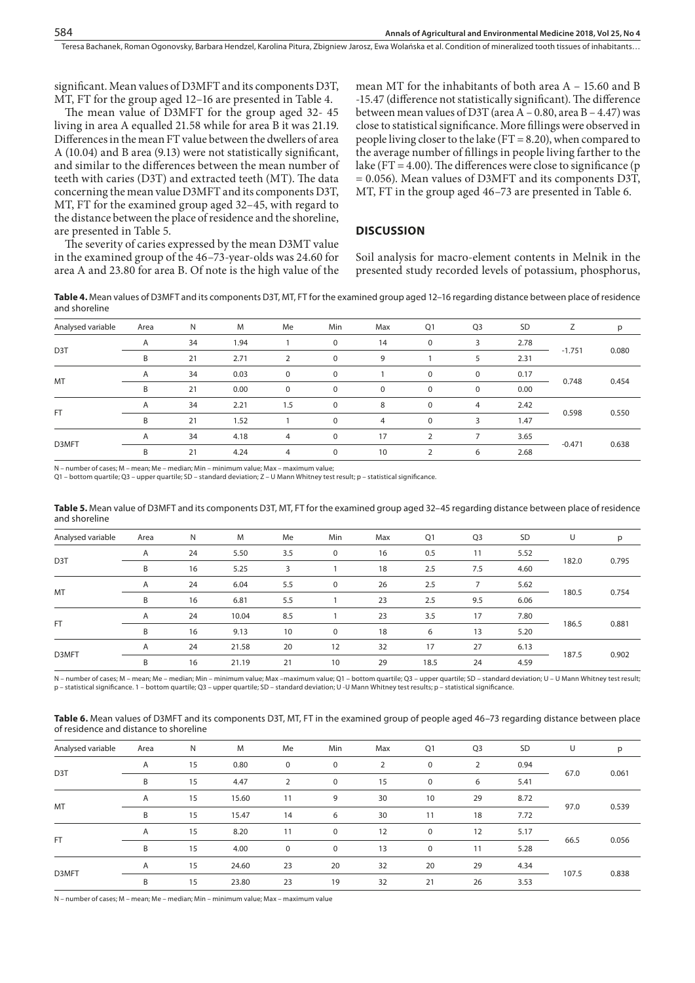significant. Mean values of D3MFT and its components D3T, MT, FT for the group aged 12–16 are presented in Table 4.

The mean value of D3MFT for the group aged 32- 45 living in area A equalled 21.58 while for area B it was 21.19. Differences in the mean FT value between the dwellers of area A (10.04) and B area (9.13) were not statistically significant, and similar to the differences between the mean number of teeth with caries (D3T) and extracted teeth (MT). The data concerning the mean value D3MFT and its components D3T, MT, FT for the examined group aged 32–45, with regard to the distance between the place of residence and the shoreline, are presented in Table 5.

The severity of caries expressed by the mean D3MT value in the examined group of the 46–73-year-olds was 24.60 for area A and 23.80 for area B. Of note is the high value of the mean MT for the inhabitants of both area A – 15.60 and B -15.47 (difference not statistically significant). The difference between mean values of D3T (area  $A - 0.80$ , area  $B - 4.47$ ) was close to statistical significance. More fillings were observed in people living closer to the lake  $(FT = 8.20)$ , when compared to the average number of fillings in people living farther to the lake (FT = 4.00). The differences were close to significance ( $p$ ) = 0.056). Mean values of D3MFT and its components D3T, MT, FT in the group aged 46–73 are presented in Table 6.

### **DISCUSSION**

Soil analysis for macro-element contents in Melnik in the presented study recorded levels of potassium, phosphorus,

**Table 4.** Mean values of D3MFT and its components D3T, MT, FT for the examined group aged 12–16 regarding distance between place of residence and shoreline

| Analysed variable | Area | N  | M    | Me             | Min      | Max         | Q1            | Q <sub>3</sub> | <b>SD</b> |          | p     |
|-------------------|------|----|------|----------------|----------|-------------|---------------|----------------|-----------|----------|-------|
|                   | A    | 34 | 1.94 |                | $\Omega$ | 14          | $\mathbf 0$   | 3              | 2.78      |          |       |
| D <sub>3</sub> T  | B    | 21 | 2.71 |                | $\Omega$ | 9           |               |                | 2.31      | $-1.751$ | 0.080 |
| MT                | A    | 34 | 0.03 | $\Omega$       | $\Omega$ |             | 0             | 0              | 0.17      | 0.748    |       |
|                   | B    | 21 | 0.00 | $\Omega$       | $\Omega$ | $\mathbf 0$ | $\mathbf 0$   | 0              | 0.00      |          | 0.454 |
|                   | A    | 34 | 2.21 | 1.5            | 0        | 8           | $\mathbf 0$   | 4              | 2.42      | 0.598    |       |
| <b>FT</b>         | B    | 21 | 1.52 |                | $\Omega$ | 4           | $\mathbf 0$   | 3              | 1.47      |          | 0.550 |
| D3MFT             | A    | 34 | 4.18 | $\overline{4}$ | $\Omega$ | 17          |               |                | 3.65      | $-0.471$ |       |
|                   | B    | 21 | 4.24 | $\overline{4}$ | $\Omega$ | 10          | $\mathcal{P}$ | 6              | 2.68      |          | 0.638 |

- number of cases; M - mean; Me - median; Min - minimum value; Max - maximum value;

Q1 – bottom quartile; Q3 – upper quartile; SD – standard deviation; Z – U Mann Whitney test result; p – statistical significance.

**Table 5.** Mean value of D3MFT and its components D3T, MT, FT for the examined group aged 32–45 regarding distance between place of residence and shoreline

| Analysed variable | Area | N  | M     | Me  | Min         | Max | Q1   | Q <sub>3</sub> | <b>SD</b> | U     | p     |
|-------------------|------|----|-------|-----|-------------|-----|------|----------------|-----------|-------|-------|
|                   | A    | 24 | 5.50  | 3.5 | $\mathbf 0$ | 16  | 0.5  | 11             | 5.52      |       |       |
| D3T               | B    | 16 | 5.25  | 3   |             | 18  | 2.5  | 7.5            | 4.60      | 182.0 | 0.795 |
| <b>MT</b>         | A    | 24 | 6.04  | 5.5 | $\mathbf 0$ | 26  | 2.5  |                | 5.62      | 180.5 |       |
|                   | B    | 16 | 6.81  | 5.5 |             | 23  | 2.5  | 9.5            | 6.06      |       | 0.754 |
| FT.               | A    | 24 | 10.04 | 8.5 |             | 23  | 3.5  | 17             | 7.80      | 186.5 |       |
|                   | B    | 16 | 9.13  | 10  | $\Omega$    | 18  | 6    | 13             | 5.20      |       | 0.881 |
| D3MFT             | A    | 24 | 21.58 | 20  | 12          | 32  | 17   | 27             | 6.13      | 187.5 |       |
|                   | B    | 16 | 21.19 | 21  | 10          | 29  | 18.5 | 24             | 4.59      |       | 0.902 |

N – number of cases; M – mean; Me – median; Min – minimum value; Max –maximum value; Q1 – bottom quartile; Q3 – upper quartile; SD – standard deviation; U – U Mann Whitney test result; p – statistical significance. 1 – bottom quartile; Q3 – upper quartile; SD – standard deviation; U -U Mann Whitney test results; p – statistical significance.

| Table 6. Mean values of D3MFT and its components D3T, MT, FT in the examined group of people aged 46–73 regarding distance between place |  |  |  |
|------------------------------------------------------------------------------------------------------------------------------------------|--|--|--|
| of residence and distance to shoreline                                                                                                   |  |  |  |

| Analysed variable | Area | N  | M     | Me             | Min         | Max | Q1          | Q <sub>3</sub> | SD   | U     | p     |
|-------------------|------|----|-------|----------------|-------------|-----|-------------|----------------|------|-------|-------|
|                   | A    | 15 | 0.80  | $\overline{0}$ | $\mathbf 0$ | 2   | 0           | 2              | 0.94 |       |       |
| D <sub>3</sub> T  | B    | 15 | 4.47  | 2              | $\mathbf 0$ | 15  | $\mathbf 0$ | 6              | 5.41 | 67.0  | 0.061 |
| MT                | A    | 15 | 15.60 | 11             | 9           | 30  | 10          | 29             | 8.72 | 97.0  |       |
|                   | B    | 15 | 15.47 | 14             | 6           | 30  | 11          | 18             | 7.72 |       | 0.539 |
| FT.               | A    | 15 | 8.20  | 11             | $\mathbf 0$ | 12  | $\mathbf 0$ | 12             | 5.17 |       |       |
|                   | B    | 15 | 4.00  | $\mathbf 0$    | $\Omega$    | 13  | $\mathbf 0$ | 11             | 5.28 | 66.5  | 0.056 |
| D3MFT             | A    | 15 | 24.60 | 23             | 20          | 32  | 20          | 29             | 4.34 |       |       |
|                   | B    | 15 | 23.80 | 23             | 19          | 32  | 21          | 26             | 3.53 | 107.5 | 0.838 |

N – number of cases; M – mean; Me – median; Min – minimum value; Max – maximum value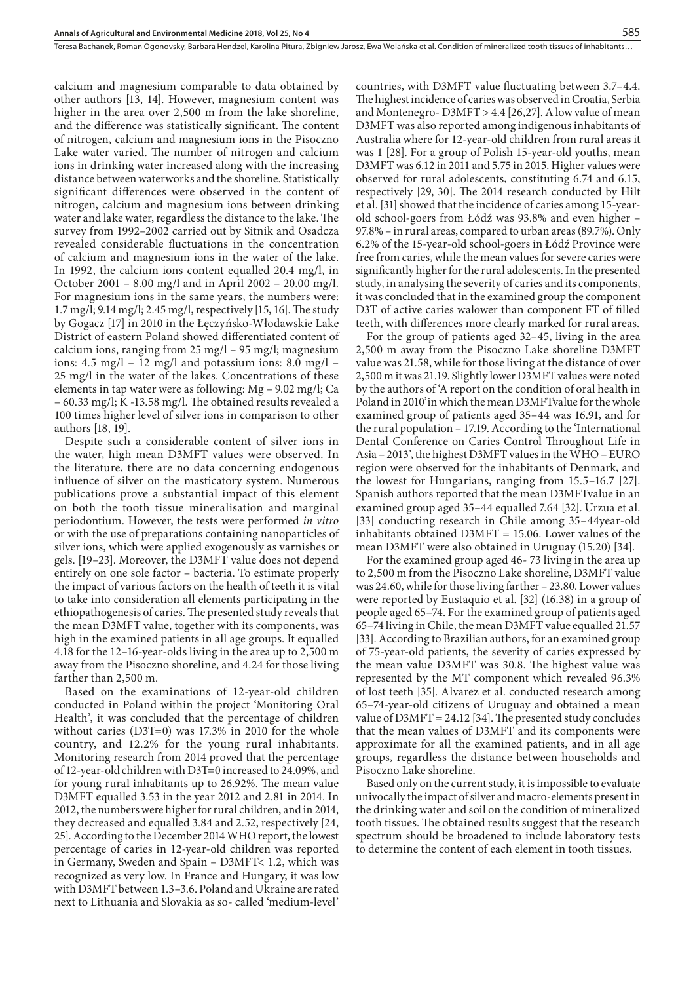calcium and magnesium comparable to data obtained by other authors [13, 14]. However, magnesium content was higher in the area over 2,500 m from the lake shoreline, and the difference was statistically significant. The content of nitrogen, calcium and magnesium ions in the Pisoczno Lake water varied. The number of nitrogen and calcium ions in drinking water increased along with the increasing distance between waterworks and the shoreline. Statistically significant differences were observed in the content of nitrogen, calcium and magnesium ions between drinking water and lake water, regardless the distance to the lake. The survey from 1992–2002 carried out by Sitnik and Osadcza revealed considerable fluctuations in the concentration of calcium and magnesium ions in the water of the lake. In 1992, the calcium ions content equalled 20.4 mg/l, in October 2001 – 8.00 mg/l and in April 2002 – 20.00 mg/l. For magnesium ions in the same years, the numbers were: 1.7 mg/l; 9.14 mg/l; 2.45 mg/l, respectively [15, 16]. The study by Gogacz [17] in 2010 in the Łęczyńsko-Włodawskie Lake District of eastern Poland showed differentiated content of calcium ions, ranging from  $25 \text{ mg/l} - 95 \text{ mg/l}$ ; magnesium ions:  $4.5 \text{ mg/l} - 12 \text{ mg/l}$  and potassium ions:  $8.0 \text{ mg/l}$  – 25 mg/l in the water of the lakes. Concentrations of these elements in tap water were as following: Mg – 9.02 mg/l; Ca – 60.33 mg/l; K -13.58 mg/l. The obtained results revealed a 100 times higher level of silver ions in comparison to other authors [18, 19].

Despite such a considerable content of silver ions in the water, high mean D3MFT values were observed. In the literature, there are no data concerning endogenous influence of silver on the masticatory system. Numerous publications prove a substantial impact of this element on both the tooth tissue mineralisation and marginal periodontium. However, the tests were performed *in vitro* or with the use of preparations containing nanoparticles of silver ions, which were applied exogenously as varnishes or gels. [19–23]. Moreover, the D3MFT value does not depend entirely on one sole factor – bacteria. To estimate properly the impact of various factors on the health of teeth it is vital to take into consideration all elements participating in the ethiopathogenesis of caries. The presented study reveals that the mean D3MFT value, together with its components, was high in the examined patients in all age groups. It equalled 4.18 for the 12–16-year-olds living in the area up to 2,500 m away from the Pisoczno shoreline, and 4.24 for those living farther than 2,500 m.

Based on the examinations of 12-year-old children conducted in Poland within the project 'Monitoring Oral Health', it was concluded that the percentage of children without caries (D3T=0) was 17.3% in 2010 for the whole country, and 12.2% for the young rural inhabitants. Monitoring research from 2014 proved that the percentage of 12-year-old children with D3T=0 increased to 24.09%, and for young rural inhabitants up to 26.92%. The mean value D3MFT equalled 3.53 in the year 2012 and 2.81 in 2014. In 2012, the numbers were higher for rural children, and in 2014, they decreased and equalled 3.84 and 2.52, respectively [24, 25]. According to the December 2014 WHO report, the lowest percentage of caries in 12-year-old children was reported in Germany, Sweden and Spain – D3MFT< 1.2, which was recognized as very low. In France and Hungary, it was low with D3MFT between 1.3–3.6. Poland and Ukraine are rated next to Lithuania and Slovakia as so- called 'medium-level'

countries, with D3MFT value fluctuating between 3.7–4.4. The highest incidence of caries was observed in Croatia, Serbia and Montenegro- D3MFT > 4.4 [26,27]. A low value of mean D3MFT was also reported among indigenous inhabitants of Australia where for 12-year-old children from rural areas it was 1 [28]. For a group of Polish 15-year-old youths, mean D3MFT was 6.12 in 2011 and 5.75 in 2015. Higher values were observed for rural adolescents, constituting 6.74 and 6.15, respectively [29, 30]. The 2014 research conducted by Hilt et al. [31] showed that the incidence of caries among 15-yearold school-goers from Łódź was 93.8% and even higher – 97.8% – in rural areas, compared to urban areas (89.7%). Only 6.2% of the 15-year-old school-goers in Łódź Province were free from caries, while the mean values for severe caries were significantly higher for the rural adolescents. In the presented study, in analysing the severity of caries and its components, it was concluded that in the examined group the component D3T of active caries walower than component FT of filled teeth, with differences more clearly marked for rural areas.

For the group of patients aged 32–45, living in the area 2,500 m away from the Pisoczno Lake shoreline D3MFT value was 21.58, while for those living at the distance of over 2,500 m it was 21.19. Slightly lower D3MFT values were noted by the authors of 'A report on the condition of oral health in Poland in 2010'in which the mean D3MFTvalue for the whole examined group of patients aged 35–44 was 16.91, and for the rural population – 17.19. According to the 'International Dental Conference on Caries Control Throughout Life in Asia – 2013', the highest D3MFT values in the WHO – EURO region were observed for the inhabitants of Denmark, and the lowest for Hungarians, ranging from 15.5–16.7 [27]. Spanish authors reported that the mean D3MFTvalue in an examined group aged 35–44 equalled 7.64 [32]. Urzua et al. [33] conducting research in Chile among 35–44year-old inhabitants obtained D3MFT = 15.06. Lower values of the mean D3MFT were also obtained in Uruguay (15.20) [34].

For the examined group aged 46- 73 living in the area up to 2,500 m from the Pisoczno Lake shoreline, D3MFT value was 24.60, while for those living farther – 23.80. Lower values were reported by Eustaquio et al. [32] (16.38) in a group of people aged 65–74. For the examined group of patients aged 65–74 living in Chile, the mean D3MFT value equalled 21.57 [33]. According to Brazilian authors, for an examined group of 75-year-old patients, the severity of caries expressed by the mean value D3MFT was 30.8. The highest value was represented by the MT component which revealed 96.3% of lost teeth [35]. Alvarez et al. conducted research among 65–74-year-old citizens of Uruguay and obtained a mean value of D3MFT = 24.12 [34]. The presented study concludes that the mean values of D3MFT and its components were approximate for all the examined patients, and in all age groups, regardless the distance between households and Pisoczno Lake shoreline.

Based only on the current study, it is impossible to evaluate univocally the impact of silver and macro-elements present in the drinking water and soil on the condition of mineralized tooth tissues. The obtained results suggest that the research spectrum should be broadened to include laboratory tests to determine the content of each element in tooth tissues.